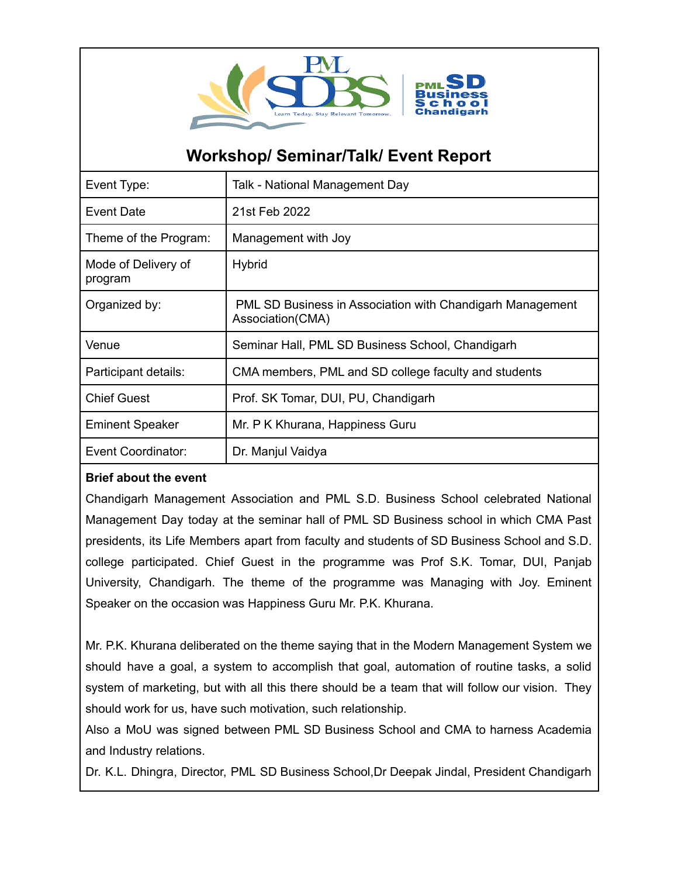

## **Workshop/ Seminar/Talk/ Event Report**

| Event Type:                    | Talk - National Management Day                                                |
|--------------------------------|-------------------------------------------------------------------------------|
| <b>Event Date</b>              | 21st Feb 2022                                                                 |
| Theme of the Program:          | Management with Joy                                                           |
| Mode of Delivery of<br>program | <b>Hybrid</b>                                                                 |
| Organized by:                  | PML SD Business in Association with Chandigarh Management<br>Association(CMA) |
| Venue                          | Seminar Hall, PML SD Business School, Chandigarh                              |
| Participant details:           | CMA members, PML and SD college faculty and students                          |
| <b>Chief Guest</b>             | Prof. SK Tomar, DUI, PU, Chandigarh                                           |
| <b>Eminent Speaker</b>         | Mr. P K Khurana, Happiness Guru                                               |
| Event Coordinator:             | Dr. Manjul Vaidya                                                             |

## **Brief about the event**

Chandigarh Management Association and PML S.D. Business School celebrated National Management Day today at the seminar hall of PML SD Business school in which CMA Past presidents, its Life Members apart from faculty and students of SD Business School and S.D. college participated. Chief Guest in the programme was Prof S.K. Tomar, DUI, Panjab University, Chandigarh. The theme of the programme was Managing with Joy. Eminent Speaker on the occasion was Happiness Guru Mr. P.K. Khurana.

Mr. P.K. Khurana deliberated on the theme saying that in the Modern Management System we should have a goal, a system to accomplish that goal, automation of routine tasks, a solid system of marketing, but with all this there should be a team that will follow our vision. They should work for us, have such motivation, such relationship.

Also a MoU was signed between PML SD Business School and CMA to harness Academia and Industry relations.

Dr. K.L. Dhingra, Director, PML SD Business School,Dr Deepak Jindal, President Chandigarh